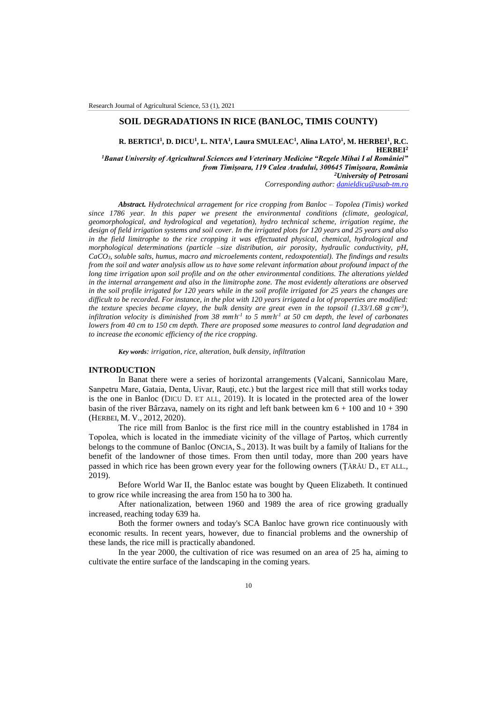## **SOIL DEGRADATIONS IN RICE (BANLOC, TIMIS COUNTY)**

**R. BERTICI<sup>1</sup> , D. DICU<sup>1</sup> , L. NITA<sup>1</sup> , Laura SMULEAC<sup>1</sup> , Alina LATO<sup>1</sup> , M. HERBEI<sup>1</sup> , R.C. HERBEI<sup>2</sup>** *<sup>1</sup>Banat University of Agricultural Sciences and Veterinary Medicine "Regele Mihai I al României" from Timişoara, 119 Calea Aradului, 300645 Timişoara, România <sup>2</sup>University of Petrosani*

*Corresponding author[: danieldicu@usab-tm.ro](mailto:danieldicu@usab-tm.ro)*

*Abstract. Hydrotechnical arragement for rice cropping from Banloc – Topolea (Timis) worked since 1786 year. In this paper we present the environmental conditions (climate, geological, geomorphological, and hydrological and vegetation), hydro technical scheme, irrigation regime, the design of field irrigation systems and soil cover. In the irrigated plots for 120 years and 25 years and also in the field limitrophe to the rice cropping it was effectuated physical, chemical, hydrological and morphological determinations (particle –size distribution, air porosity, hydraulic conductivity, pH, CaCO3, soluble salts, humus, macro and microelements content, redoxpotential). The findings and results from the soil and water analysis allow us to have some relevant information about profound impact of the long time irrigation upon soil profile and on the other environmental conditions. The alterations yielded in the internal arrangement and also in the limitrophe zone. The most evidently alterations are observed in the soil profile irrigated for 120 years while in the soil profile irrigated for 25 years the changes are difficult to be recorded. For instance, in the plot with 120 years irrigated a lot of properties are modified:*  the texture species became clayey, the bulk density are great even in the topsoil  $(1.33/1.68 \text{ g} \cdot \text{cm}^{-3})$ , *infiltration velocity is diminished from 38 mm<sub></sub>* $h$ *<sup>-1</sup> to 5 mm<sub></sub>* $h$ *<sup>-1</sup> at 50 cm depth, the level of carbonates lowers from 40 cm to 150 cm depth. There are proposed some measures to control land degradation and to increase the economic efficiency of the rice cropping.*

*Key words: irrigation, rice, alteration, bulk density, infiltration*

## **INTRODUCTION**

In Banat there were a series of horizontal arrangements (Valcani, Sannicolau Mare, Sanpetru Mare, Gataia, Denta, Uivar, Rauti, etc.) but the largest rice mill that still works today is the one in Banloc (DICU D. ET ALL, 2019). It is located in the protected area of the lower basin of the river Bârzava, namely on its right and left bank between km  $6 + 100$  and  $10 + 390$ (HERBEI, M. V., 2012, 2020).

The rice mill from Banloc is the first rice mill in the country established in 1784 in Topolea, which is located in the immediate vicinity of the village of Partoş, which currently belongs to the commune of Banloc (ONCIA, S., 2013). It was built by a family of Italians for the benefit of the landowner of those times. From then until today, more than 200 years have passed in which rice has been grown every year for the following owners (ŢĂRĂU D., ET ALL., 2019).

Before World War II, the Banloc estate was bought by Queen Elizabeth. It continued to grow rice while increasing the area from 150 ha to 300 ha.

After nationalization, between 1960 and 1989 the area of rice growing gradually increased, reaching today 639 ha.

Both the former owners and today's SCA Banloc have grown rice continuously with economic results. In recent years, however, due to financial problems and the ownership of these lands, the rice mill is practically abandoned.

In the year 2000, the cultivation of rice was resumed on an area of 25 ha, aiming to cultivate the entire surface of the landscaping in the coming years.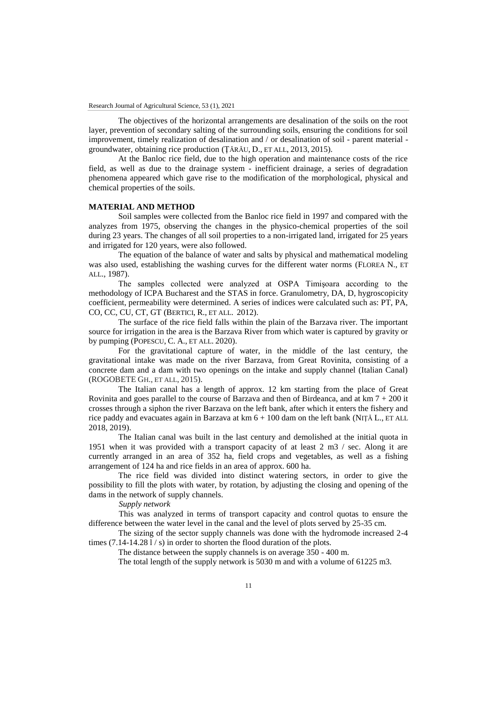The objectives of the horizontal arrangements are desalination of the soils on the root layer, prevention of secondary salting of the surrounding soils, ensuring the conditions for soil improvement, timely realization of desalination and / or desalination of soil - parent material groundwater, obtaining rice production (ŢĂRĂU, D., ET ALL, 2013, 2015).

At the Banloc rice field, due to the high operation and maintenance costs of the rice field, as well as due to the drainage system - inefficient drainage, a series of degradation phenomena appeared which gave rise to the modification of the morphological, physical and chemical properties of the soils.

### **MATERIAL AND METHOD**

Soil samples were collected from the Banloc rice field in 1997 and compared with the analyzes from 1975, observing the changes in the physico-chemical properties of the soil during 23 years. The changes of all soil properties to a non-irrigated land, irrigated for 25 years and irrigated for 120 years, were also followed.

The equation of the balance of water and salts by physical and mathematical modeling was also used, establishing the washing curves for the different water norms (FLOREA N., ET ALL., 1987).

The samples collected were analyzed at OSPA Timişoara according to the methodology of ICPA Bucharest and the STAS in force. Granulometry, DA, D, hygroscopicity coefficient, permeability were determined. A series of indices were calculated such as: PT, PA, CO, CC, CU, CT, GT (BERTICI, R., ET ALL. 2012).

The surface of the rice field falls within the plain of the Barzava river. The important source for irrigation in the area is the Barzava River from which water is captured by gravity or by pumping (POPESCU, C. A., ET ALL. 2020).

For the gravitational capture of water, in the middle of the last century, the gravitational intake was made on the river Barzava, from Great Rovinita, consisting of a concrete dam and a dam with two openings on the intake and supply channel (Italian Canal) (ROGOBETE GH., ET ALL, 2015).

The Italian canal has a length of approx. 12 km starting from the place of Great Rovinita and goes parallel to the course of Barzava and then of Birdeanca, and at  $km 7 + 200$  it crosses through a siphon the river Barzava on the left bank, after which it enters the fishery and rice paddy and evacuates again in Barzava at  $km 6 + 100$  dam on the left bank (NITĂ L., ET ALL 2018, 2019).

The Italian canal was built in the last century and demolished at the initial quota in 1951 when it was provided with a transport capacity of at least 2 m3 / sec. Along it are currently arranged in an area of 352 ha, field crops and vegetables, as well as a fishing arrangement of 124 ha and rice fields in an area of approx. 600 ha.

The rice field was divided into distinct watering sectors, in order to give the possibility to fill the plots with water, by rotation, by adjusting the closing and opening of the dams in the network of supply channels.

*Supply network*

This was analyzed in terms of transport capacity and control quotas to ensure the difference between the water level in the canal and the level of plots served by 25-35 cm.

The sizing of the sector supply channels was done with the hydromode increased 2-4 times  $(7.14-14.281/ s)$  in order to shorten the flood duration of the plots.

The distance between the supply channels is on average 350 - 400 m.

The total length of the supply network is 5030 m and with a volume of 61225 m3.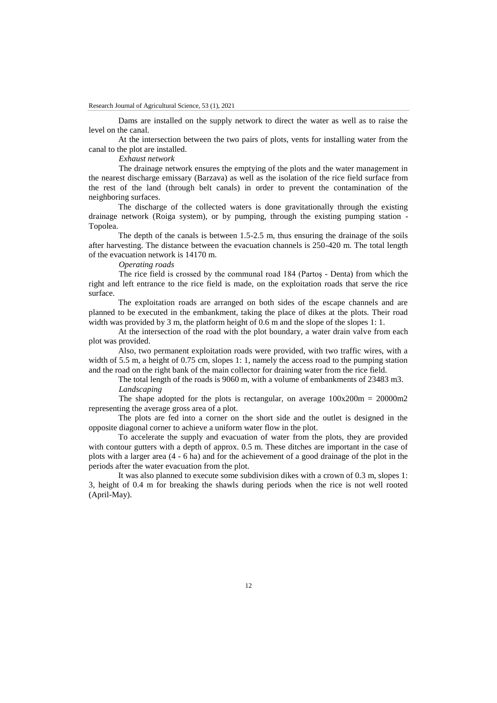Dams are installed on the supply network to direct the water as well as to raise the level on the canal.

At the intersection between the two pairs of plots, vents for installing water from the canal to the plot are installed.

*Exhaust network*

The drainage network ensures the emptying of the plots and the water management in the nearest discharge emissary (Barzava) as well as the isolation of the rice field surface from the rest of the land (through belt canals) in order to prevent the contamination of the neighboring surfaces.

The discharge of the collected waters is done gravitationally through the existing drainage network (Roiga system), or by pumping, through the existing pumping station - Topolea.

The depth of the canals is between 1.5-2.5 m, thus ensuring the drainage of the soils after harvesting. The distance between the evacuation channels is 250-420 m. The total length of the evacuation network is 14170 m.

*Operating roads*

The rice field is crossed by the communal road 184 (Partoş - Denta) from which the right and left entrance to the rice field is made, on the exploitation roads that serve the rice surface.

The exploitation roads are arranged on both sides of the escape channels and are planned to be executed in the embankment, taking the place of dikes at the plots. Their road width was provided by 3 m, the platform height of 0.6 m and the slope of the slopes 1: 1.

At the intersection of the road with the plot boundary, a water drain valve from each plot was provided.

Also, two permanent exploitation roads were provided, with two traffic wires, with a width of 5.5 m, a height of 0.75 cm, slopes 1: 1, namely the access road to the pumping station and the road on the right bank of the main collector for draining water from the rice field.

The total length of the roads is 9060 m, with a volume of embankments of 23483 m3. *Landscaping*

The shape adopted for the plots is rectangular, on average  $100x200m = 20000m2$ representing the average gross area of a plot.

The plots are fed into a corner on the short side and the outlet is designed in the opposite diagonal corner to achieve a uniform water flow in the plot.

To accelerate the supply and evacuation of water from the plots, they are provided with contour gutters with a depth of approx. 0.5 m. These ditches are important in the case of plots with a larger area (4 - 6 ha) and for the achievement of a good drainage of the plot in the periods after the water evacuation from the plot.

It was also planned to execute some subdivision dikes with a crown of 0.3 m, slopes 1: 3, height of 0.4 m for breaking the shawls during periods when the rice is not well rooted (April-May).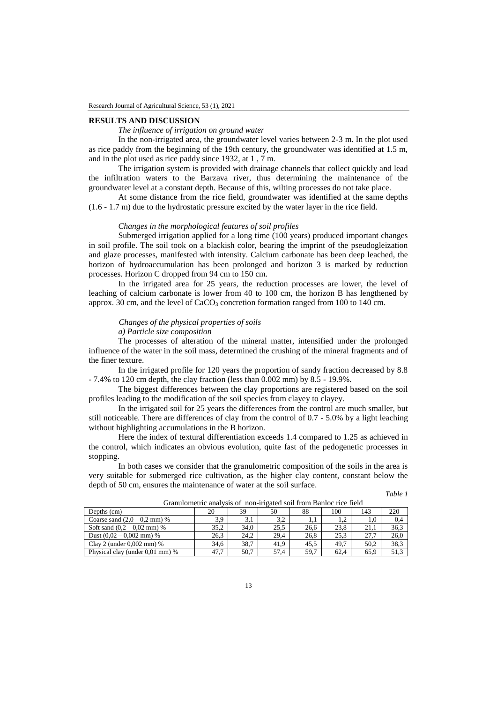### **RESULTS AND DISCUSSION**

## *The influence of irrigation on ground water*

In the non-irrigated area, the groundwater level varies between 2-3 m. In the plot used as rice paddy from the beginning of the 19th century, the groundwater was identified at 1.5 m, and in the plot used as rice paddy since 1932, at 1 , 7 m.

The irrigation system is provided with drainage channels that collect quickly and lead the infiltration waters to the Barzava river, thus determining the maintenance of the groundwater level at a constant depth. Because of this, wilting processes do not take place.

At some distance from the rice field, groundwater was identified at the same depths (1.6 - 1.7 m) due to the hydrostatic pressure excited by the water layer in the rice field.

# *Changes in the morphological features of soil profiles*

Submerged irrigation applied for a long time (100 years) produced important changes in soil profile. The soil took on a blackish color, bearing the imprint of the pseudogleization and glaze processes, manifested with intensity. Calcium carbonate has been deep leached, the horizon of hydroaccumulation has been prolonged and horizon 3 is marked by reduction processes. Horizon C dropped from 94 cm to 150 cm.

In the irrigated area for 25 years, the reduction processes are lower, the level of leaching of calcium carbonate is lower from 40 to 100 cm, the horizon B has lengthened by approx. 30 cm, and the level of  $CaCO<sub>3</sub>$  concretion formation ranged from 100 to 140 cm.

# *Changes of the physical properties of soils*

*a) Particle size composition*

The processes of alteration of the mineral matter, intensified under the prolonged influence of the water in the soil mass, determined the crushing of the mineral fragments and of the finer texture.

In the irrigated profile for 120 years the proportion of sandy fraction decreased by 8.8 - 7.4% to 120 cm depth, the clay fraction (less than 0.002 mm) by 8.5 - 19.9%.

The biggest differences between the clay proportions are registered based on the soil profiles leading to the modification of the soil species from clayey to clayey.

In the irrigated soil for 25 years the differences from the control are much smaller, but still noticeable. There are differences of clay from the control of 0.7 - 5.0% by a light leaching without highlighting accumulations in the B horizon.

Here the index of textural differentiation exceeds 1.4 compared to 1.25 as achieved in the control, which indicates an obvious evolution, quite fast of the pedogenetic processes in stopping.

In both cases we consider that the granulometric composition of the soils in the area is very suitable for submerged rice cultivation, as the higher clay content, constant below the depth of 50 cm, ensures the maintenance of water at the soil surface.

|--|--|

| Oranufoliicufe aharvsis or "hon-migated son from Danioe fice ficid |      |      |      |      |      |      |      |  |  |
|--------------------------------------------------------------------|------|------|------|------|------|------|------|--|--|
| Depths (cm)                                                        | 20   | 39   | 50   | 88   | 100  | 143  | 220  |  |  |
| Coarse sand $(2.0 - 0.2$ mm) %                                     | 3,9  | 3,1  | 3.2  |      | 1.2  | 1.0  | 0.4  |  |  |
| Soft sand $(0.2 - 0.02$ mm) %                                      | 35.2 | 34.0 | 25.5 | 26.6 | 23.8 | 21.1 | 36.3 |  |  |
| Dust $(0.02 - 0.002$ mm) %                                         | 26,3 | 24.2 | 29.4 | 26.8 | 25.3 | 27.7 | 26.0 |  |  |
| Clay 2 (under $0.002$ mm) %                                        | 34.6 | 38.7 | 41.9 | 45.5 | 49.7 | 50.2 | 38.3 |  |  |
| Physical clay (under 0.01 mm) %                                    | 47,7 | 50.7 | 57.4 | 59.7 | 62.4 | 65.9 | 51.3 |  |  |

Granulometric analysis of non-irigated soil from Banloc rice field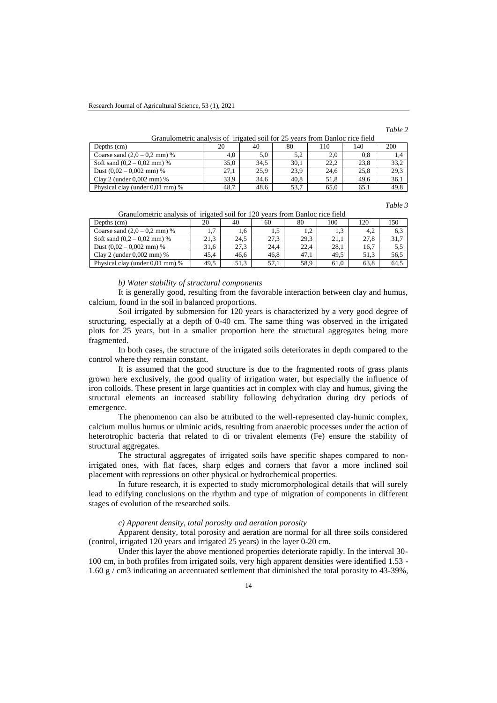*Table 2*

Granulometric analysis of irigated soil for 25 years from Banloc rice field

| Depths (cm)                       | 20   | 40   | 80   | 110  | 140  | 200  |
|-----------------------------------|------|------|------|------|------|------|
| Coarse sand $(2.0 - 0.2$ mm) %    | 4.0  | 5.0  | 5.2  | 2,0  | 0.8  |      |
| Soft sand $(0.2 - 0.02$ mm) %     | 35,0 | 34.5 | 30,1 | 22.2 | 23.8 | 33.2 |
| Dust $(0.02 - 0.002$ mm) %        | 27.1 | 25.9 | 23.9 | 24.6 | 25.8 | 29,3 |
| Clay 2 (under $0.002$ mm) %       | 33,9 | 34.6 | 40.8 | 51.8 | 49.6 | 36.1 |
| Physical clay (under $0.01$ mm) % | 48,7 | 48.6 | 53.7 | 65,0 | 65,1 | 49.8 |

*Table 3*

| 1115500000000011101             |               |      |      |      |      |      |      |  |
|---------------------------------|---------------|------|------|------|------|------|------|--|
| Depths (cm)                     | 20            | 40   | 60   | 80   | 100  | 120  | 150  |  |
| Coarse sand $(2.0 - 0.2$ mm) %  | $\mathcal{L}$ | 1.6  | 1.5  |      | 1,3  | 4.2  | 6.3  |  |
| Soft sand $(0.2 - 0.02$ mm) %   | 21.3          | 24.5 | 27.3 | 29.3 | 21.1 | 27.8 | 31.7 |  |
| Dust $(0.02 - 0.002$ mm) %      | 31.6          | 27.3 | 24.4 | 22.4 | 28.1 | 16.7 | 5,5  |  |
| Clay 2 (under $0.002$ mm) %     | 45.4          | 46.6 | 46.8 | 47.1 | 49.5 | 51.3 | 56,5 |  |
| Physical clay (under 0.01 mm) % | 49.5          | 51.3 | 57.1 | 58.9 | 61.0 | 63.8 | 64.5 |  |

Granulometric analysis of irigated soil for 120 years from Banloc rice field

#### *b) Water stability of structural components*

It is generally good, resulting from the favorable interaction between clay and humus, calcium, found in the soil in balanced proportions.

Soil irrigated by submersion for 120 years is characterized by a very good degree of structuring, especially at a depth of 0-40 cm. The same thing was observed in the irrigated plots for 25 years, but in a smaller proportion here the structural aggregates being more fragmented.

In both cases, the structure of the irrigated soils deteriorates in depth compared to the control where they remain constant.

It is assumed that the good structure is due to the fragmented roots of grass plants grown here exclusively, the good quality of irrigation water, but especially the influence of iron colloids. These present in large quantities act in complex with clay and humus, giving the structural elements an increased stability following dehydration during dry periods of emergence.

The phenomenon can also be attributed to the well-represented clay-humic complex, calcium mullus humus or ulminic acids, resulting from anaerobic processes under the action of heterotrophic bacteria that related to di or trivalent elements (Fe) ensure the stability of structural aggregates.

The structural aggregates of irrigated soils have specific shapes compared to nonirrigated ones, with flat faces, sharp edges and corners that favor a more inclined soil placement with repressions on other physical or hydrochemical properties.

In future research, it is expected to study micromorphological details that will surely lead to edifying conclusions on the rhythm and type of migration of components in different stages of evolution of the researched soils.

#### *c) Apparent density, total porosity and aeration porosity*

Apparent density, total porosity and aeration are normal for all three soils considered (control, irrigated 120 years and irrigated 25 years) in the layer 0-20 cm.

Under this layer the above mentioned properties deteriorate rapidly. In the interval 30- 100 cm, in both profiles from irrigated soils, very high apparent densities were identified 1.53 - 1.60 g / cm3 indicating an accentuated settlement that diminished the total porosity to 43-39%,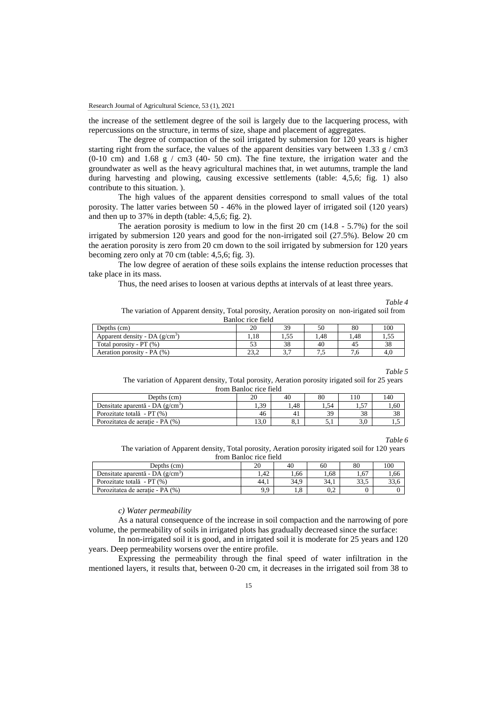the increase of the settlement degree of the soil is largely due to the lacquering process, with repercussions on the structure, in terms of size, shape and placement of aggregates.

The degree of compaction of the soil irrigated by submersion for 120 years is higher starting right from the surface, the values of the apparent densities vary between 1.33 g / cm3  $(0-10 \text{ cm})$  and  $1.68 \text{ g}$  / cm3 (40- 50 cm). The fine texture, the irrigation water and the groundwater as well as the heavy agricultural machines that, in wet autumns, trample the land during harvesting and plowing, causing excessive settlements (table: 4,5,6; fig. 1) also contribute to this situation. ).

The high values of the apparent densities correspond to small values of the total porosity. The latter varies between 50 - 46% in the plowed layer of irrigated soil (120 years) and then up to 37% in depth (table: 4,5,6; fig. 2).

The aeration porosity is medium to low in the first 20 cm (14.8 - 5.7%) for the soil irrigated by submersion 120 years and good for the non-irrigated soil (27.5%). Below 20 cm the aeration porosity is zero from 20 cm down to the soil irrigated by submersion for 120 years becoming zero only at 70 cm (table: 4,5,6; fig. 3).

The low degree of aeration of these soils explains the intense reduction processes that take place in its mass.

Thus, the need arises to loosen at various depths at intervals of at least three years.

*Table 4*

The variation of Apparent density, Total porosity, Aeration porosity on non-irigated soil from Banloc rice field

| Depths (cm)                      | 20          | 30       | 50  | 80  | 100    |
|----------------------------------|-------------|----------|-----|-----|--------|
| Apparent density - DA $(g/cm^3)$ | 1.18        | ن ر.     | .48 | .48 | ر ر. د |
| Total porosity - $PT$ (%)        |             | ാറ<br>эŏ | 40  | 41  | 38     |
| Aeration porosity - PA (%)       | 222<br>ے۔دے | <u>.</u> | ر…  | -0  | 4.U    |

*Table 5*

The variation of Apparent density, Total porosity, Aeration porosity irigated soil for 25 years from Banloc rice field

| Depths (cm)                        | 20   | 40  | 80   |            | 40       |
|------------------------------------|------|-----|------|------------|----------|
| Densitate aparentă - DA $(g/cm^3)$ | 1,39 | .48 | 1.54 | Fп<br>ر. د | 1.60     |
| Porozitate totală - PT (%)         | 46   |     | 39   | 38         | no<br>20 |
| Porozitatea de aeratie - PA (%)    | 13,0 | 0.1 | ۰.۱  |            |          |

*Table 6*

The variation of Apparent density, Total porosity, Aeration porosity irigated soil for 120 years from Banloc rice field

| Depths (cm)                        | 20   | 40   | 60   | 80   | 100            |
|------------------------------------|------|------|------|------|----------------|
| Densitate aparentă - DA $(g/cm^3)$ | .42  | .66  | .68  | 1.67 | 1,66           |
| Porozitate totală - PT (%)         | 44.1 | 34.9 | 34.1 | 33.5 | $\sim$<br>33.O |
| Porozitatea de aeratie - PA (%)    | 9.9  | 1.8  | J.Z  |      |                |

*c) Water permeability*

As a natural consequence of the increase in soil compaction and the narrowing of pore volume, the permeability of soils in irrigated plots has gradually decreased since the surface:

In non-irrigated soil it is good, and in irrigated soil it is moderate for 25 years and 120 years. Deep permeability worsens over the entire profile.

Expressing the permeability through the final speed of water infiltration in the mentioned layers, it results that, between 0-20 cm, it decreases in the irrigated soil from 38 to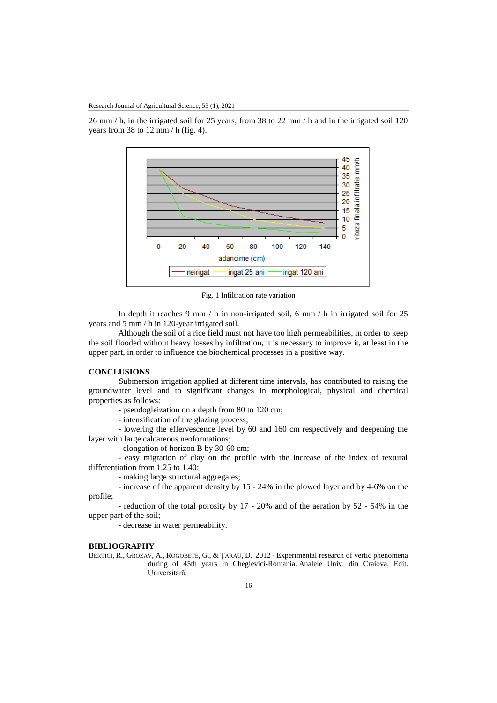26 mm / h, in the irrigated soil for 25 years, from 38 to 22 mm / h and in the irrigated soil 120 years from 38 to 12 mm  $/$  h (fig. 4).



Fig. 1 Infiltration rate variation

In depth it reaches 9 mm / h in non-irrigated soil, 6 mm / h in irrigated soil for 25 years and 5 mm / h in 120-year irrigated soil.

Although the soil of a rice field must not have too high permeabilities, in order to keep the soil flooded without heavy losses by infiltration, it is necessary to improve it, at least in the upper part, in order to influence the biochemical processes in a positive way.

### **CONCLUSIONS**

Submersion irrigation applied at different time intervals, has contributed to raising the groundwater level and to significant changes in morphological, physical and chemical properties as follows:

- pseudogleization on a depth from 80 to 120 cm;

- intensification of the glazing process;

- lowering the effervescence level by 60 and 160 cm respectively and deepening the layer with large calcareous neoformations;

- elongation of horizon B by 30-60 cm;

- easy migration of clay on the profile with the increase of the index of textural differentiation from 1.25 to 1.40;

- making large structural aggregates;

- increase of the apparent density by 15 - 24% in the plowed layer and by 4-6% on the profile;

- reduction of the total porosity by 17 - 20% and of the aeration by 52 - 54% in the upper part of the soil;

- decrease in water permeability.

# **BIBLIOGRAPHY**

BERTICI, R., GROZAV, A., ROGOBETE, G., & ȚĂRĂU, D. 2012 - Experimental research of vertic phenomena during of 45th years in Cheglevici-Romania. Analele Univ. din Craiova, Edit. Universitară.